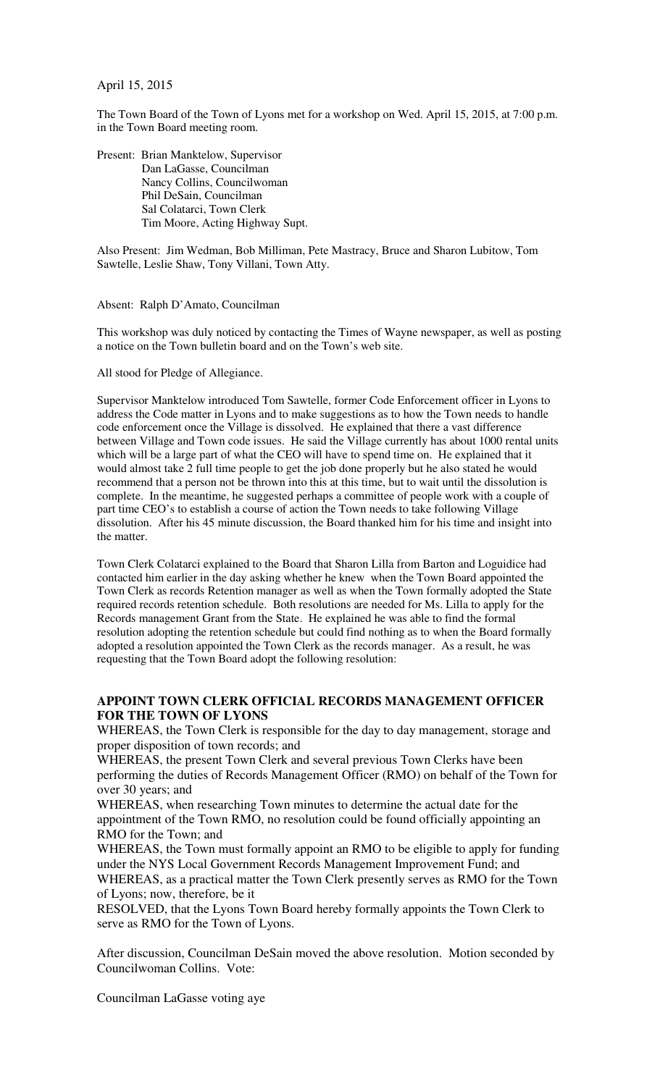April 15, 2015

The Town Board of the Town of Lyons met for a workshop on Wed. April 15, 2015, at 7:00 p.m. in the Town Board meeting room.

Present: Brian Manktelow, Supervisor Dan LaGasse, Councilman Nancy Collins, Councilwoman Phil DeSain, Councilman Sal Colatarci, Town Clerk Tim Moore, Acting Highway Supt.

Also Present: Jim Wedman, Bob Milliman, Pete Mastracy, Bruce and Sharon Lubitow, Tom Sawtelle, Leslie Shaw, Tony Villani, Town Atty.

Absent: Ralph D'Amato, Councilman

This workshop was duly noticed by contacting the Times of Wayne newspaper, as well as posting a notice on the Town bulletin board and on the Town's web site.

All stood for Pledge of Allegiance.

Supervisor Manktelow introduced Tom Sawtelle, former Code Enforcement officer in Lyons to address the Code matter in Lyons and to make suggestions as to how the Town needs to handle code enforcement once the Village is dissolved. He explained that there a vast difference between Village and Town code issues. He said the Village currently has about 1000 rental units which will be a large part of what the CEO will have to spend time on. He explained that it would almost take 2 full time people to get the job done properly but he also stated he would recommend that a person not be thrown into this at this time, but to wait until the dissolution is complete. In the meantime, he suggested perhaps a committee of people work with a couple of part time CEO's to establish a course of action the Town needs to take following Village dissolution. After his 45 minute discussion, the Board thanked him for his time and insight into the matter.

Town Clerk Colatarci explained to the Board that Sharon Lilla from Barton and Loguidice had contacted him earlier in the day asking whether he knew when the Town Board appointed the Town Clerk as records Retention manager as well as when the Town formally adopted the State required records retention schedule. Both resolutions are needed for Ms. Lilla to apply for the Records management Grant from the State. He explained he was able to find the formal resolution adopting the retention schedule but could find nothing as to when the Board formally adopted a resolution appointed the Town Clerk as the records manager. As a result, he was requesting that the Town Board adopt the following resolution:

## **APPOINT TOWN CLERK OFFICIAL RECORDS MANAGEMENT OFFICER FOR THE TOWN OF LYONS**

WHEREAS, the Town Clerk is responsible for the day to day management, storage and proper disposition of town records; and

WHEREAS, the present Town Clerk and several previous Town Clerks have been performing the duties of Records Management Officer (RMO) on behalf of the Town for over 30 years; and

WHEREAS, when researching Town minutes to determine the actual date for the appointment of the Town RMO, no resolution could be found officially appointing an RMO for the Town; and

WHEREAS, the Town must formally appoint an RMO to be eligible to apply for funding under the NYS Local Government Records Management Improvement Fund; and WHEREAS, as a practical matter the Town Clerk presently serves as RMO for the Town of Lyons; now, therefore, be it

RESOLVED, that the Lyons Town Board hereby formally appoints the Town Clerk to serve as RMO for the Town of Lyons.

After discussion, Councilman DeSain moved the above resolution. Motion seconded by Councilwoman Collins. Vote:

Councilman LaGasse voting aye